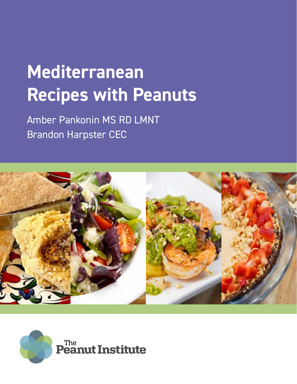# **Mediterranean Recipes with Peanuts**

Amber Pankonin MS RD LMNT Brandon Harpster CEC



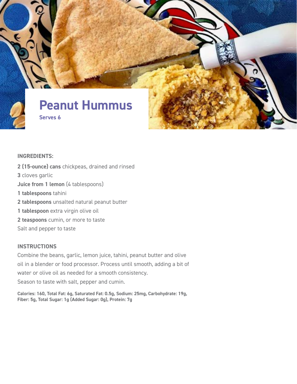

#### **INGREDIENTS:**

**2 (15-ounce) cans** chickpeas, drained and rinsed **3** cloves garlic **Juice from 1 lemon** (4 tablespoons) **1 tablespoons** tahini **2 tablespoons** unsalted natural peanut butter **1 tablespoon** extra virgin olive oil **2 teaspoons** cumin, or more to taste Salt and pepper to taste

#### **INSTRUCTIONS**

Combine the beans, garlic, lemon juice, tahini, peanut butter and olive oil in a blender or food processor. Process until smooth, adding a bit of water or olive oil as needed for a smooth consistency. Season to taste with salt, pepper and cumin.

**Calories: 160, Total Fat: 6g, Saturated Fat: 0.5g, Sodium: 25mg, Carbohydrate: 19g, Fiber: 5g, Total Sugar: 1g (Added Sugar: 0g), Protein: 7g**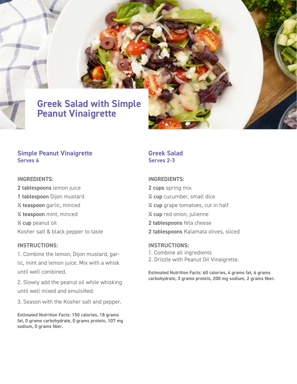### **Greek Salad with Simple Peanut Vinaigrette**

#### **Simple Peanut Vinaigrette Serves 6**

#### **INGREDIENTS:**

**2 tablespoons** lemon juice **1 tablespoon** Dijon mustard **½ teaspoon** garlic, minced **¼ teaspoon** mint, minced **½ cup** peanut oil Kosher salt & black pepper to taste

#### **INSTRUCTIONS:**

1. Combine the lemon, Dijon mustard, garlic, mint and lemon juice. Mix with a whisk until well combined.

2. Slowly add the peanut oil while whisking until well mixed and emulsified.

3. Season with the Kosher salt and pepper.

**Estimated Nutrition Facts: 150 calories, 18 grams fat, 0 grams carbohydrate, 0 grams protein, 107 mg sodium, 0 grams fiber.**

#### **Greek Salad Serves 2-3**

#### **INGREDIENTS:**

**2 cups** spring mix **¼ cup** cucumber, small dice **¼ cup** grape tomatoes, cut in half **¼ cup** red onion, julienne **2 tablespoons** feta cheese **2 tablespoons** Kalamata olives, sliced

#### **INSTRUCTIONS:**

- 1. Combine all ingredients
- 2. Drizzle with Peanut Oil Vinaigrette.

**Estimated Nutrition Facts: 60 calories, 4 grams fat, 6 grams carbohydrate, 3 grams protein, 200 mg sodium, 2 grams fiber.**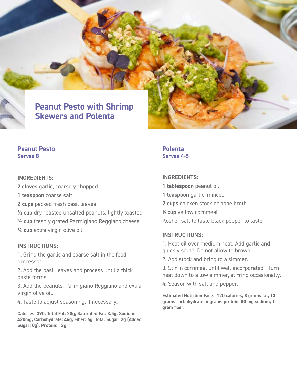### **Peanut Pesto with Shrimp Skewers and Polenta**

#### **Peanut Pesto Serves 8**

#### **INGREDIENTS:**

**2 cloves** garlic, coarsely chopped

- **1 teaspoon** coarse salt
- **2 cups** packed fresh basil leaves

**⅓ cup** dry roasted unsalted peanuts, lightly toasted **⅔ cup** freshly grated Parmigiano Reggiano cheese **½ cup** extra virgin olive oil

#### **INSTRUCTIONS:**

1. Grind the garlic and coarse salt in the food processor.

2. Add the basil leaves and process until a thick paste forms.

3. Add the peanuts, Parmigiano Reggiano and extra virgin olive oil.

4. Taste to adjust seasoning, if necessary.

**Calories: 390, Total Fat: 20g, Saturated Fat: 3.5g, Sodium: 420mg, Carbohydrate: 44g, Fiber: 6g, Total Sugar: 2g (Added Sugar: 0g), Protein: 12g**

**Polenta Serves 4-5**

#### **INGREDIENTS:**

- **1 tablespoon** peanut oil
- **1 teaspoon** garlic, minced
- **2 cups** chicken stock or bone broth
- **½ cup** yellow cornmeal

Kosher salt to taste black pepper to taste

#### **INSTRUCTIONS:**

1. Heat oil over medium heat. Add garlic and quickly sauté. Do not allow to brown.

2. Add stock and bring to a simmer.

3. Stir in cornmeal until well incorporated. Turn heat down to a low simmer, stirring occasionally.

4. Season with salt and pepper.

**Estimated Nutrition Facts: 120 calories, 8 grams fat, 13 grams carbohydrate, 6 grams protein, 80 mg sodium, 1 gram fiber.**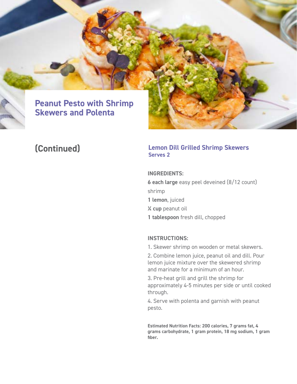

### **Peanut Pesto with Shrimp Skewers and Polenta**

### **(Continued)** Lemon I<br>Serves 2

# **Lemon Dill Grilled Shrimp Skewers**

#### **INGREDIENTS:**

**6 each large** easy peel deveined (8/12 count) shrimp

- **1 lemon**, juiced
- **¼ cup** peanut oil
- **1 tablespoon** fresh dill, chopped

#### **INSTRUCTIONS:**

1. Skewer shrimp on wooden or metal skewers.

2. Combine lemon juice, peanut oil and dill. Pour lemon juice mixture over the skewered shrimp and marinate for a minimum of an hour.

3. Pre-heat grill and grill the shrimp for approximately 4-5 minutes per side or until cooked through.

4. Serve with polenta and garnish with peanut pesto.

**Estimated Nutrition Facts: 200 calories, 7 grams fat, 4 grams carbohydrate, 1 gram protein, 18 mg sodium, 1 gram fiber.**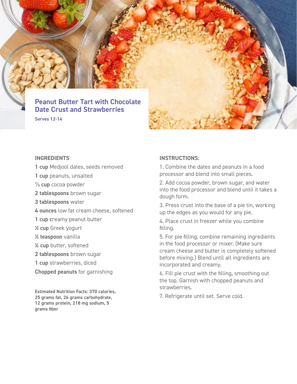

#### **INGREDIENTS**

- **1 cup** Medjool dates, seeds removed
- **1 cup** peanuts, unsalted
- **⅓ cup** cocoa powder
- **2 tablespoons** brown sugar
- **3 tablespoons** water
- **4 ounces** low fat cream cheese, softened
- **1 cup c**reamy peanut butter
- **1/2 cup** Greek yogurt
- **1/2 teaspoon** vanilla
- **1/4 cup** butter, softened
- **2 tablespoons** brown sugar
- **1 cup** strawberries, diced
- **Chopped peanuts** for garnishing

**Estimated Nutrition Facts: 370 calories, 25 grams fat, 26 grams carbohydrate, 12 grams protein, 218 mg sodium, 5 grams fiber**

#### **INSTRUCTIONS:**

1. Combine the dates and peanuts in a food processor and blend into small pieces.

2. Add cocoa powder, brown sugar, and water into the food processor and blend until it takes a dough form.

3. Press crust into the base of a pie tin, working up the edges as you would for any pie.

4. Place crust in freezer while you combine filling.

5. For pie filling, combine remaining ingredients in the food processor or mixer. (Make sure cream cheese and butter is completely softened before mixing.) Blend until all ingredients are incorporated and creamy.

6. Fill pie crust with the filling, smoothing out the top. Garnish with chopped peanuts and strawberries.

7. Refrigerate until set. Serve cold.